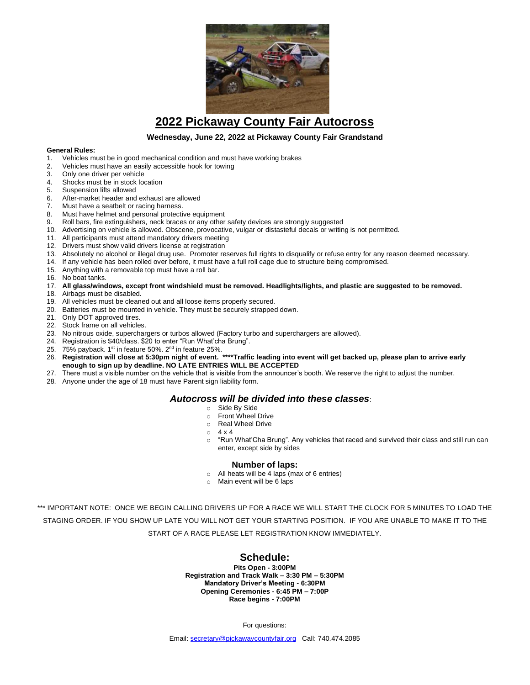

## **2022 Pickaway County Fair Autocross**

### **Wednesday, June 22, 2022 at Pickaway County Fair Grandstand**

#### **General Rules:**

- 1. Vehicles must be in good mechanical condition and must have working brakes
- 2. Vehicles must have an easily accessible hook for towing
- Only one driver per vehicle
- 4. Shocks must be in stock location
- 5. Suspension lifts allowed<br>6. After-market header and
- 6. After-market header and exhaust are allowed<br>7. Must have a seathelt or racing harness
- Must have a seatbelt or racing harness.
- 8. Must have helmet and personal protective equipment
- 9. Roll bars, fire extinguishers, neck braces or any other safety devices are strongly suggested
- 10. Advertising on vehicle is allowed. Obscene, provocative, vulgar or distasteful decals or writing is not permitted.
- 11. All participants must attend mandatory drivers meeting
- 12. Drivers must show valid drivers license at registration
- 13. Absolutely no alcohol or illegal drug use. Promoter reserves full rights to disqualify or refuse entry for any reason deemed necessary.
- 14. If any vehicle has been rolled over before, it must have a full roll cage due to structure being compromised.
- 15. Anything with a removable top must have a roll bar.
- 16. No boat tanks.
- 17. All glass/windows, except front windshield must be removed. Headlights/lights, and plastic are suggested to be removed.
- 18. Airbags must be disabled.
- 19. All vehicles must be cleaned out and all loose items properly secured.
- 20. Batteries must be mounted in vehicle. They must be securely strapped down.
- 21. Only DOT approved tires.
- 22. Stock frame on all vehicles.
- 23. No nitrous oxide, superchargers or turbos allowed (Factory turbo and superchargers are allowed).
- 24. Registration is \$40/class. \$20 to enter "Run What'cha Brung".
- 25. 75% payback. 1<sup>st</sup> in feature 50%. 2<sup>nd</sup> in feature 25%.
- 26. Registration will close at 5:30pm night of event. \*\*\*\*Traffic leading into event will get backed up, please plan to arrive early **enough to sign up by deadline. NO LATE ENTRIES WILL BE ACCEPTED**
- 27. There must a visible number on the vehicle that is visible from the announcer's booth. We reserve the right to adjust the number.
- 28. Anyone under the age of 18 must have Parent sign liability form.

## *Autocross will be divided into these classes*:

- o Side By Side
- o Front Wheel Drive
- o Real Wheel Drive
- $\circ$  4 x 4
- $\circ$  "Run What'Cha Brung". Any vehicles that raced and survived their class and still run can enter, except side by sides

#### **Number of laps:**

- o All heats will be 4 laps (max of 6 entries)
- Main event will be 6 laps

\*\*\* IMPORTANT NOTE: ONCE WE BEGIN CALLING DRIVERS UP FOR A RACE WE WILL START THE CLOCK FOR 5 MINUTES TO LOAD THE STAGING ORDER. IF YOU SHOW UP LATE YOU WILL NOT GET YOUR STARTING POSITION. IF YOU ARE UNABLE TO MAKE IT TO THE START OF A RACE PLEASE LET REGISTRATION KNOW IMMEDIATELY.

## **Schedule:**

**Pits Open - 3:00PM Registration and Track Walk – 3:30 PM – 5:30PM Mandatory Driver's Meeting - 6:30PM Opening Ceremonies - 6:45 PM – 7:00P Race begins - 7:00PM**

For questions:

Email: secretary@pickawaycountyfair.org Call: 740.474.2085